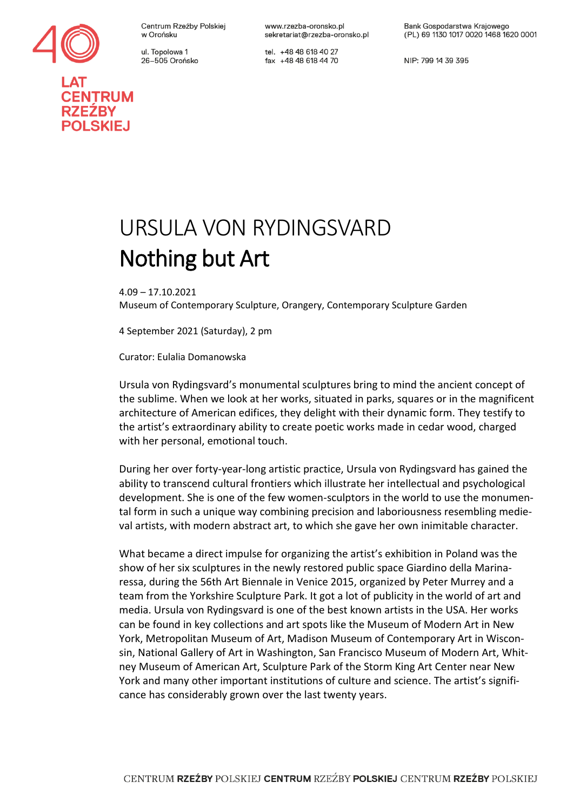Centrum Rzeźby Polskiej w Orońsku

ul. Topolowa 1 26-505 Orońsko www.rzezba-oronsko.pl sekretariat@rzezba-oronsko.pl

tel. +48 48 618 40 27 fax +48 48 618 44 70

NIP: 799 14 39 395

## URSULA VON RYDINGSVARD Nothing but Art

4.09 – 17.10.2021

Museum of Contemporary Sculpture, Orangery, Contemporary Sculpture Garden

4 September 2021 (Saturday), 2 pm

Curator: Eulalia Domanowska

Ursula von Rydingsvard's monumental sculptures bring to mind the ancient concept of the sublime. When we look at her works, situated in parks, squares or in the magnificent architecture of American edifices, they delight with their dynamic form. They testify to the artist's extraordinary ability to create poetic works made in cedar wood, charged with her personal, emotional touch.

During her over forty-year-long artistic practice, Ursula von Rydingsvard has gained the ability to transcend cultural frontiers which illustrate her intellectual and psychological development. She is one of the few women-sculptors in the world to use the monumental form in such a unique way combining precision and laboriousness resembling medieval artists, with modern abstract art, to which she gave her own inimitable character.

What became a direct impulse for organizing the artist's exhibition in Poland was the show of her six sculptures in the newly restored public space Giardino della Marinaressa, during the 56th Art Biennale in Venice 2015, organized by Peter Murrey and a team from the Yorkshire Sculpture Park. It got a lot of publicity in the world of art and media. Ursula von Rydingsvard is one of the best known artists in the USA. Her works can be found in key collections and art spots like the Museum of Modern Art in New York, Metropolitan Museum of Art, Madison Museum of Contemporary Art in Wisconsin, National Gallery of Art in Washington, San Francisco Museum of Modern Art, Whitney Museum of American Art, Sculpture Park of the Storm King Art Center near New York and many other important institutions of culture and science. The artist's significance has considerably grown over the last twenty years.



**ENTRUM RZEŹBY POLSKIEJ**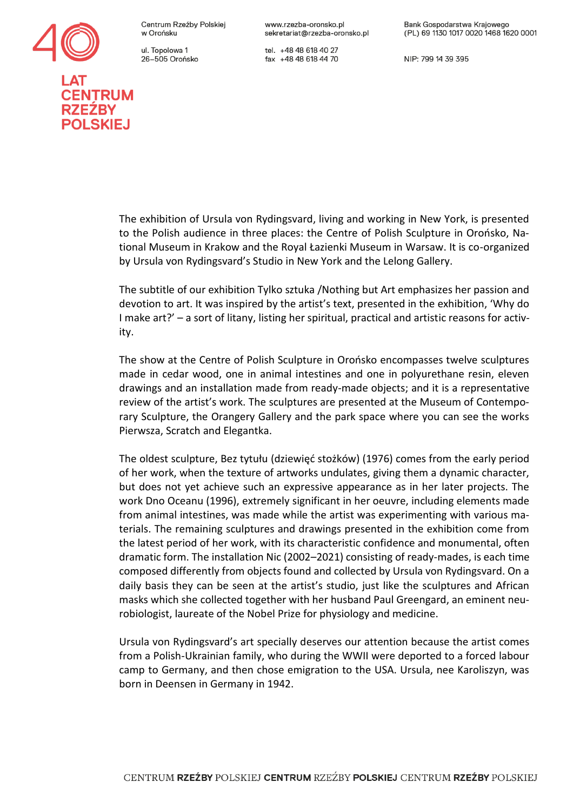Centrum Rzeźby Polskiej w Orońsku

ul Topolowa 1 26-505 Orońsko tel. +48 48 618 40 27 fax +48 48 618 44 70

NIP: 799 14 39 395

The exhibition of Ursula von Rydingsvard, living and working in New York, is presented to the Polish audience in three places: the Centre of Polish Sculpture in Orońsko, National Museum in Krakow and the Royal Łazienki Museum in Warsaw. It is co-organized by Ursula von Rydingsvard's Studio in New York and the Lelong Gallery.

The subtitle of our exhibition Tylko sztuka /Nothing but Art emphasizes her passion and devotion to art. It was inspired by the artist's text, presented in the exhibition, 'Why do I make art?' – a sort of litany, listing her spiritual, practical and artistic reasons for activity.

The show at the Centre of Polish Sculpture in Orońsko encompasses twelve sculptures made in cedar wood, one in animal intestines and one in polyurethane resin, eleven drawings and an installation made from ready-made objects; and it is a representative review of the artist's work. The sculptures are presented at the Museum of Contemporary Sculpture, the Orangery Gallery and the park space where you can see the works Pierwsza, Scratch and Elegantka.

The oldest sculpture, Bez tytułu (dziewięć stożków) (1976) comes from the early period of her work, when the texture of artworks undulates, giving them a dynamic character, but does not yet achieve such an expressive appearance as in her later projects. The work Dno Oceanu (1996), extremely significant in her oeuvre, including elements made from animal intestines, was made while the artist was experimenting with various materials. The remaining sculptures and drawings presented in the exhibition come from the latest period of her work, with its characteristic confidence and monumental, often dramatic form. The installation Nic (2002–2021) consisting of ready-mades, is each time composed differently from objects found and collected by Ursula von Rydingsvard. On a daily basis they can be seen at the artist's studio, just like the sculptures and African masks which she collected together with her husband Paul Greengard, an eminent neurobiologist, laureate of the Nobel Prize for physiology and medicine.

Ursula von Rydingsvard's art specially deserves our attention because the artist comes from a Polish-Ukrainian family, who during the WWII were deported to a forced labour camp to Germany, and then chose emigration to the USA. Ursula, nee Karoliszyn, was born in Deensen in Germany in 1942.